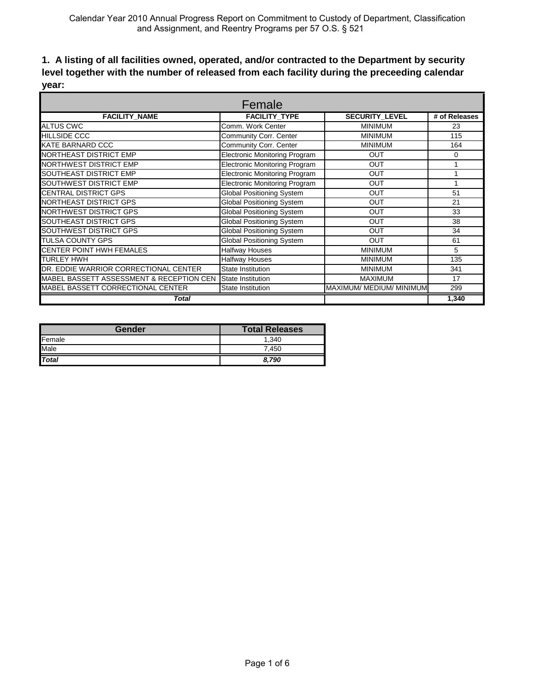### **1. A listing of all facilities owned, operated, and/or contracted to the Department by security level together with the number of released from each facility during the preceeding calendar year:**

| Female                                   |                                      |                          |               |
|------------------------------------------|--------------------------------------|--------------------------|---------------|
| <b>FACILITY NAME</b>                     | <b>FACILITY TYPE</b>                 | <b>SECURITY LEVEL</b>    | # of Releases |
| <b>ALTUS CWC</b>                         | Comm. Work Center                    | <b>MINIMUM</b>           | 23            |
| <b>HILLSIDE CCC</b>                      | Community Corr. Center               | <b>MINIMUM</b>           | 115           |
| KATE BARNARD CCC                         | Community Corr. Center               | <b>MINIMUM</b>           | 164           |
| <b>NORTHEAST DISTRICT EMP</b>            | <b>Electronic Monitoring Program</b> | <b>OUT</b>               | 0             |
| <b>NORTHWEST DISTRICT EMP</b>            | <b>Electronic Monitoring Program</b> | <b>OUT</b>               |               |
| <b>SOUTHEAST DISTRICT EMP</b>            | <b>Electronic Monitoring Program</b> | <b>OUT</b>               |               |
| <b>SOUTHWEST DISTRICT EMP</b>            | <b>Electronic Monitoring Program</b> | <b>OUT</b>               |               |
| <b>CENTRAL DISTRICT GPS</b>              | <b>Global Positioning System</b>     | <b>OUT</b>               | 51            |
| <b>NORTHEAST DISTRICT GPS</b>            | <b>Global Positioning System</b>     | <b>OUT</b>               | 21            |
| <b>NORTHWEST DISTRICT GPS</b>            | <b>Global Positioning System</b>     | <b>OUT</b>               | 33            |
| <b>SOUTHEAST DISTRICT GPS</b>            | <b>Global Positioning System</b>     | <b>OUT</b>               | 38            |
| <b>SOUTHWEST DISTRICT GPS</b>            | <b>Global Positioning System</b>     | <b>OUT</b>               | 34            |
| <b>TULSA COUNTY GPS</b>                  | <b>Global Positioning System</b>     | <b>OUT</b>               | 61            |
| CENTER POINT HWH FEMALES                 | <b>Halfway Houses</b>                | <b>MINIMUM</b>           | 5             |
| <b>TURLEY HWH</b>                        | Halfway Houses                       | <b>MINIMUM</b>           | 135           |
| DR. EDDIE WARRIOR CORRECTIONAL CENTER    | State Institution                    | <b>MINIMUM</b>           | 341           |
| MABEL BASSETT ASSESSMENT & RECEPTION CEN | State Institution                    | <b>MAXIMUM</b>           | 17            |
| MABEL BASSETT CORRECTIONAL CENTER        | <b>State Institution</b>             | MAXIMUM/ MEDIUM/ MINIMUM | 299           |
| Total                                    |                                      |                          | 1.340         |

| Gender       | <b>Total Releases</b> |
|--------------|-----------------------|
| Female       | 1.340                 |
| Male         | 7.450                 |
| <b>Total</b> | 8.790                 |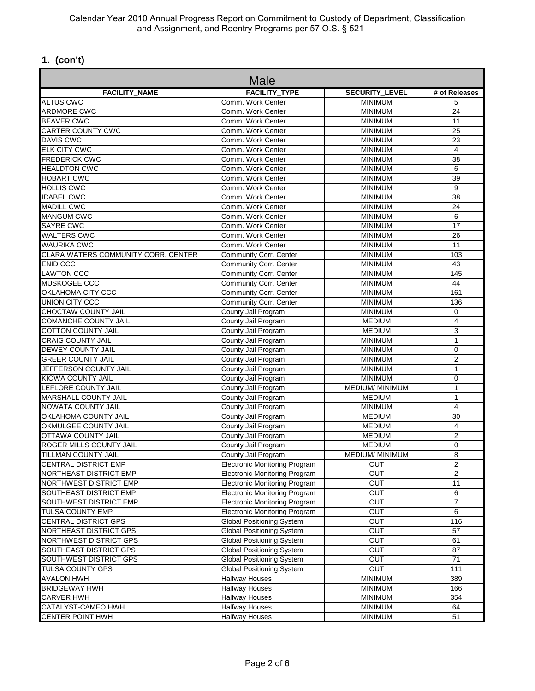# **1. (con't)**

| Male                                |                                                |                        |                 |
|-------------------------------------|------------------------------------------------|------------------------|-----------------|
| <b>FACILITY NAME</b>                | <b>FACILITY TYPE</b>                           | <b>SECURITY LEVEL</b>  | # of Releases   |
| <b>ALTUS CWC</b>                    | Comm. Work Center                              | <b>MINIMUM</b>         | 5               |
| <b>ARDMORE CWC</b>                  | Comm. Work Center                              | <b>MINIMUM</b>         | 24              |
| <b>BEAVER CWC</b>                   | Comm. Work Center                              | <b>MINIMUM</b>         | 11              |
| <b>CARTER COUNTY CWC</b>            | Comm. Work Center                              | <b>MINIMUM</b>         | 25              |
| <b>DAVIS CWC</b>                    | Comm. Work Center                              | <b>MINIMUM</b>         | 23              |
| <b>ELK CITY CWC</b>                 | Comm. Work Center                              | <b>MINIMUM</b>         | 4               |
| <b>FREDERICK CWC</b>                | Comm. Work Center                              | <b>MINIMUM</b>         | 38              |
| <b>HEALDTON CWC</b>                 | Comm. Work Center                              | <b>MINIMUM</b>         | 6               |
| <b>HOBART CWC</b>                   | Comm. Work Center                              | <b>MINIMUM</b>         | 39              |
| <b>HOLLIS CWC</b>                   | Comm. Work Center                              | <b>MINIMUM</b>         | 9               |
| <b>IDABEL CWC</b>                   | Comm. Work Center                              | <b>MINIMUM</b>         | 38              |
| <b>MADILL CWC</b>                   | Comm. Work Center                              | <b>MINIMUM</b>         | 24              |
| <b>MANGUM CWC</b>                   | Comm. Work Center                              | <b>MINIMUM</b>         | 6               |
| <b>SAYRE CWC</b>                    | Comm. Work Center                              | <b>MINIMUM</b>         | $\overline{17}$ |
| <b>WALTERS CWC</b>                  | Comm. Work Center                              | <b>MINIMUM</b>         | 26              |
| <b>WAURIKA CWC</b>                  | Comm. Work Center                              | <b>MINIMUM</b>         | 11              |
| CLARA WATERS COMMUNITY CORR. CENTER | Community Corr. Center                         | <b>MINIMUM</b>         | 103             |
| <b>ENID CCC</b>                     | <b>Community Corr. Center</b>                  | <b>MINIMUM</b>         | 43              |
| <b>LAWTON CCC</b>                   | Community Corr. Center                         | <b>MINIMUM</b>         | 145             |
| MUSKOGEE CCC                        | Community Corr. Center                         | <b>MINIMUM</b>         | 44              |
| OKLAHOMA CITY CCC                   | <b>Community Corr. Center</b>                  | <b>MINIMUM</b>         | 161             |
| <b>UNION CITY CCC</b>               | Community Corr. Center                         | <b>MINIMUM</b>         | 136             |
| <b>CHOCTAW COUNTY JAIL</b>          | County Jail Program                            | <b>MINIMUM</b>         | 0               |
| COMANCHE COUNTY JAIL                | County Jail Program                            | <b>MEDIUM</b>          | $\overline{4}$  |
| <b>COTTON COUNTY JAIL</b>           | County Jail Program                            | <b>MEDIUM</b>          | 3               |
| <b>CRAIG COUNTY JAIL</b>            | County Jail Program                            | <b>MINIMUM</b>         | $\mathbf{1}$    |
| <b>DEWEY COUNTY JAIL</b>            | County Jail Program                            | <b>MINIMUM</b>         | 0               |
| <b>GREER COUNTY JAIL</b>            | County Jail Program                            | <b>MINIMUM</b>         | $\overline{2}$  |
| JEFFERSON COUNTY JAIL               | County Jail Program                            | <b>MINIMUM</b>         | 1               |
| <b>KIOWA COUNTY JAIL</b>            | County Jail Program                            | <b>MINIMUM</b>         | 0               |
| LEFLORE COUNTY JAIL                 | County Jail Program                            | <b>MEDIUM/ MINIMUM</b> | $\overline{1}$  |
| <b>MARSHALL COUNTY JAIL</b>         | County Jail Program                            | <b>MEDIUM</b>          | $\mathbf{1}$    |
| <b>NOWATA COUNTY JAIL</b>           | County Jail Program<br><b>MINIMUM</b>          |                        | 4               |
| OKLAHOMA COUNTY JAIL                | County Jail Program<br><b>MEDIUM</b>           |                        | 30              |
| OKMULGEE COUNTY JAIL                | <b>MEDIUM</b><br>County Jail Program           |                        | $\overline{4}$  |
| <b>OTTAWA COUNTY JAIL</b>           | County Jail Program<br><b>MEDIUM</b>           |                        | $\overline{2}$  |
| ROGER MILLS COUNTY JAIL             | County Jail Program                            | <b>MEDIUM</b>          | 0               |
| TILLMAN COUNTY JAIL                 | County Jail Program                            | <b>MEDIUM/ MINIMUM</b> | 8               |
| <b>CENTRAL DISTRICT EMP</b>         | <b>Electronic Monitoring Program</b>           | OUT                    | 2               |
| <b>NORTHEAST DISTRICT EMP</b>       | <b>Electronic Monitoring Program</b>           | OUT                    | 2               |
| NORTHWEST DISTRICT EMP              | <b>Electronic Monitoring Program</b>           | OUT                    | 11              |
| SOUTHEAST DISTRICT EMP              | <b>Electronic Monitoring Program</b>           | <b>OUT</b>             | 6               |
| SOUTHWEST DISTRICT EMP              | <b>Electronic Monitoring Program</b>           | OUT                    | $\overline{7}$  |
| <b>TULSA COUNTY EMP</b>             | <b>Electronic Monitoring Program</b>           | OUT                    | 6               |
| <b>CENTRAL DISTRICT GPS</b>         | <b>Global Positioning System</b>               | OUT                    | 116             |
| NORTHEAST DISTRICT GPS              | <b>Global Positioning System</b>               | OUT                    | 57              |
| NORTHWEST DISTRICT GPS              | <b>Global Positioning System</b>               | <b>OUT</b>             | 61              |
| <b>SOUTHEAST DISTRICT GPS</b>       | <b>Global Positioning System</b>               | OUT                    | 87              |
| SOUTHWEST DISTRICT GPS              | <b>Global Positioning System</b>               | OUT                    | 71              |
| <b>TULSA COUNTY GPS</b>             | <b>Global Positioning System</b>               | <b>OUT</b>             | 111             |
| <b>AVALON HWH</b>                   | <b>Halfway Houses</b>                          | <b>MINIMUM</b>         | 389             |
| <b>BRIDGEWAY HWH</b>                |                                                | <b>MINIMUM</b>         | 166             |
| <b>CARVER HWH</b>                   | <b>Halfway Houses</b><br><b>Halfway Houses</b> | <b>MINIMUM</b>         | 354             |
| CATALYST-CAMEO HWH                  | <b>Halfway Houses</b>                          | <b>MINIMUM</b>         | 64              |
| <b>CENTER POINT HWH</b>             |                                                |                        |                 |
|                                     | <b>Halfway Houses</b>                          | <b>MINIMUM</b>         | 51              |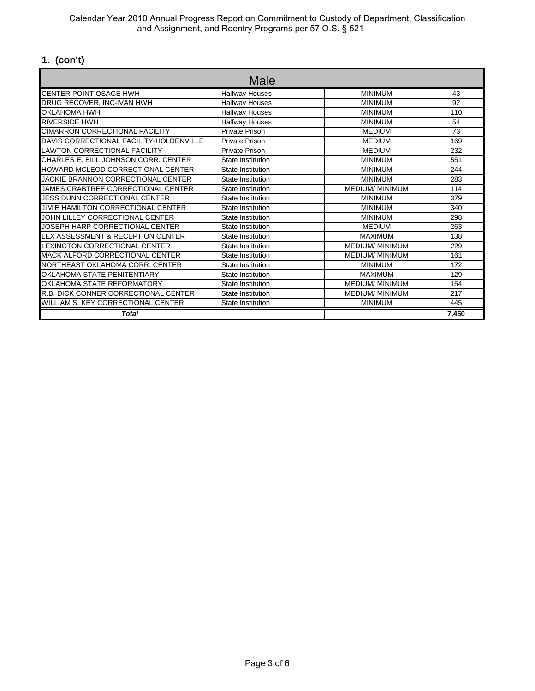Calendar Year 2010 Annual Progress Report on Commitment to Custody of Department, Classification and Assignment, and Reentry Programs per 57 O.S. § 521

# **1. (con't)**

| Male                                    |                          |                        |       |
|-----------------------------------------|--------------------------|------------------------|-------|
| <b>CENTER POINT OSAGE HWH</b>           | <b>Halfway Houses</b>    | <b>MINIMUM</b>         | 43    |
| DRUG RECOVER, INC-IVAN HWH              | <b>Halfway Houses</b>    | <b>MINIMUM</b>         | 92    |
| OKLAHOMA HWH                            | <b>Halfway Houses</b>    | <b>MINIMUM</b>         | 110   |
| <b>RIVERSIDE HWH</b>                    | Halfway Houses           | <b>MINIMUM</b>         | 54    |
| <b>CIMARRON CORRECTIONAL FACILITY</b>   | <b>Private Prison</b>    | <b>MEDIUM</b>          | 73    |
| DAVIS CORRECTIONAL FACILITY-HOLDENVILLE | <b>Private Prison</b>    | <b>MEDIUM</b>          | 169   |
| <b>LAWTON CORRECTIONAL FACILITY</b>     | Private Prison           | <b>MEDIUM</b>          | 232   |
| CHARLES E. BILL JOHNSON CORR. CENTER    | State Institution        | <b>MINIMUM</b>         | 551   |
| HOWARD MCLEOD CORRECTIONAL CENTER       | State Institution        | <b>MINIMUM</b>         | 244   |
| JACKIE BRANNON CORRECTIONAL CENTER      | State Institution        | <b>MINIMUM</b>         | 283   |
| JAMES CRABTREE CORRECTIONAL CENTER      | State Institution        | <b>MEDIUM/ MINIMUM</b> | 114   |
| <b>JESS DUNN CORRECTIONAL CENTER</b>    | State Institution        | <b>MINIMUM</b>         | 379   |
| JIM E HAMILTON CORRECTIONAL CENTER      | State Institution        | <b>MINIMUM</b>         | 340   |
| JOHN LILLEY CORRECTIONAL CENTER         | State Institution        | <b>MINIMUM</b>         | 298   |
| JOSEPH HARP CORRECTIONAL CENTER         | <b>State Institution</b> | <b>MEDIUM</b>          | 263   |
| LEX ASSESSMENT & RECEPTION CENTER       | State Institution        | <b>MAXIMUM</b>         | 138   |
| <b>LEXINGTON CORRECTIONAL CENTER</b>    | <b>State Institution</b> | <b>MEDIUM/ MINIMUM</b> | 229   |
| MACK ALFORD CORRECTIONAL CENTER         | State Institution        | <b>MEDIUM/ MINIMUM</b> | 161   |
| NORTHEAST OKLAHOMA CORR. CENTER         | <b>State Institution</b> | <b>MINIMUM</b>         | 172   |
| OKLAHOMA STATE PENITENTIARY             | State Institution        | <b>MAXIMUM</b>         | 129   |
| OKLAHOMA STATE REFORMATORY              | <b>State Institution</b> | <b>MEDIUM/ MINIMUM</b> | 154   |
| R.B. DICK CONNER CORRECTIONAL CENTER    | <b>State Institution</b> | <b>MEDIUM/ MINIMUM</b> | 217   |
| WILLIAM S. KEY CORRECTIONAL CENTER      | <b>State Institution</b> | <b>MINIMUM</b>         | 445   |
| <b>Total</b>                            |                          |                        | 7,450 |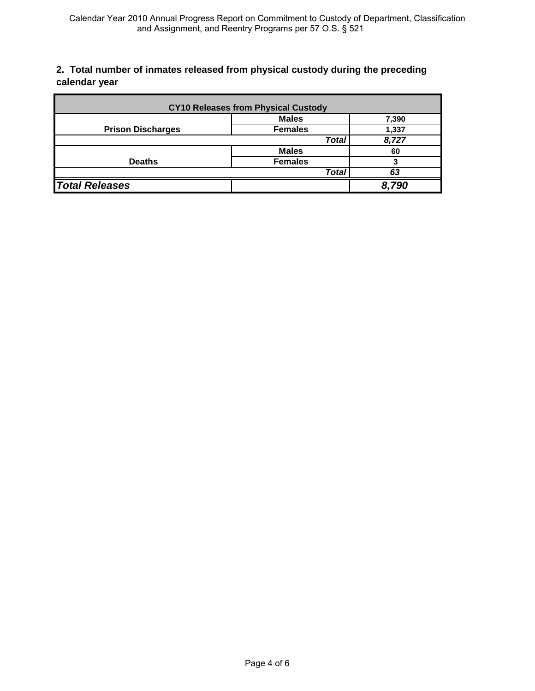### **2. Total number of inmates released from physical custody during the preceding calendar year**

| <b>CY10 Releases from Physical Custody</b> |                |       |
|--------------------------------------------|----------------|-------|
|                                            | <b>Males</b>   | 7,390 |
| <b>Prison Discharges</b>                   | <b>Females</b> | 1,337 |
|                                            | <b>Total</b>   | 8,727 |
|                                            | <b>Males</b>   | 60    |
| <b>Deaths</b>                              | <b>Females</b> | 3     |
|                                            | <b>Total</b>   | 63    |
| <b>Total Releases</b>                      |                | 8,790 |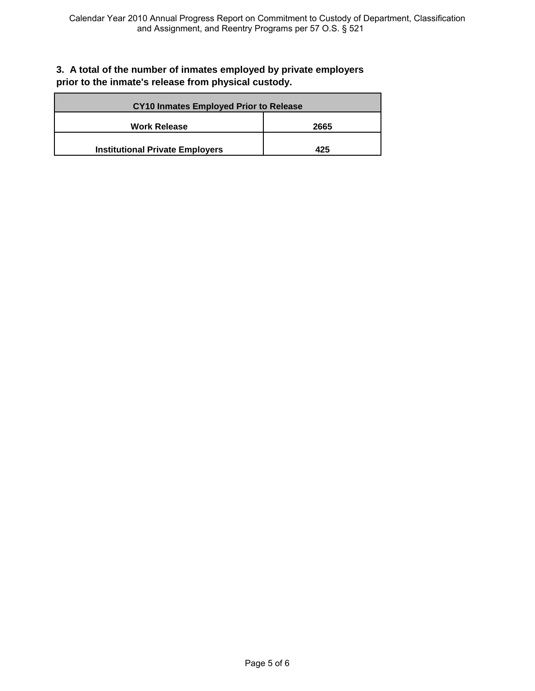#### **3. A total of the number of inmates employed by private employers prior to the inmate's release from physical custody.**

| <b>CY10 Inmates Employed Prior to Release</b> |      |  |
|-----------------------------------------------|------|--|
| <b>Work Release</b>                           | 2665 |  |
| <b>Institutional Private Employers</b>        | 425  |  |